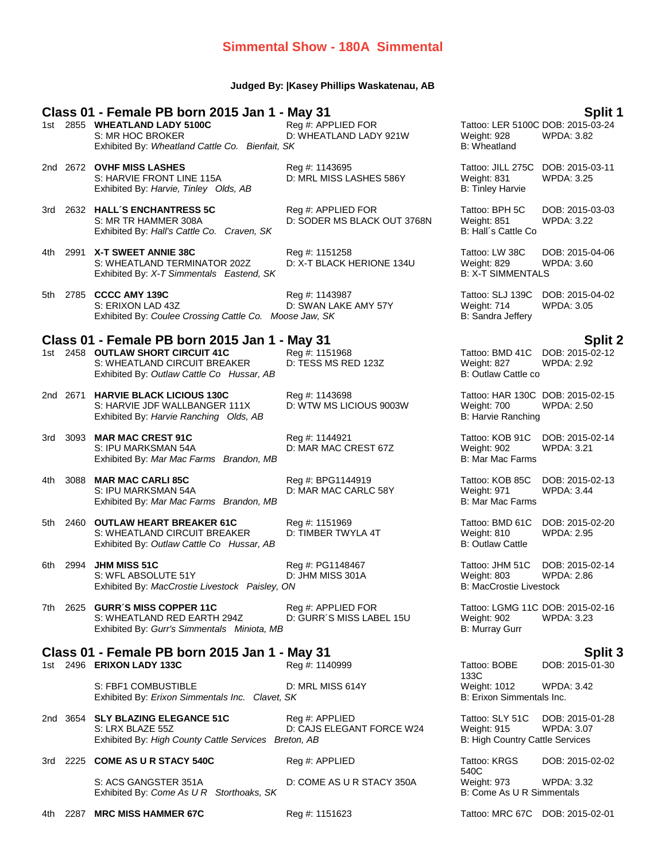## **Simmental Show - 180A Simmental**

### **Judged By: |Kasey Phillips Waskatenau, AB**

# **Class 01 - Female PB born 2015 Jan 1 - May 31 Split 1**

S: MR HOC BROKER D: WHEATLAND LADY 921W Weight: 928 Exhibited By: *Wheatland Cattle Co. Bienfait, SK* B: Wheatland

D: MAR MAC CREST 67Z

- 2nd 2672 **OVHF MISS LASHES** Reg #: 1143695 Tattoo: JILL 275C DOB: 2015-03-11 S: HARVIE FRONT LINE 115A D: MRL MISS LASHES 586Y Weight: 831 WPDA: 3.25 Exhibited By: *Harvie, Tinley Olds, AB* B: Tinley Harvie B: Tinley Harvie
- 3rd 2632 **HALL´S ENCHANTRESS 5C** Reg #: APPLIED FOR Tattoo: BPH 5C DOB: 2015-03-03 S: MR TR HAMMER 308A **D: SODER MS BLACK OUT 3768N** Weight: 851 WPDA: 3.22 Exhibited By: *Hall's Cattle Co. Craven, SK* B: Hall's Cattle Co. Craven, SK
- 4th 2991 **X-T SWEET ANNIE 38C** Reg #: 1151258 Tattoo: LW 38C DOB: 2015-04-06 S: WHEATLAND TERMINATOR 202Z D: X-T BLACK HERIONE 134U Weight: 829 WPDA: 3.60<br>Exhibited By: *X-T Simmentals Eastend, SK* B: X-T SIMMENTALS Exhibited By: *X-T Simmentals Eastend, SK*
- 5th 2785 **CCCC AMY 139C** Reg #: 1143987 Tattoo: SLJ 139C DOB: 2015-04-02 S: ERIXON LAD 43Z **D: SWAN LAKE AMY 57Y** Weight: 714<br>Exhibited By: Coulee Crossing Cattle Co. Moose Jaw, SK Bit Sandra Jeffery Exhibited By: Coulee Crossing Cattle Co. Moose Jaw, SK

### **Class 01 - Female PB born 2015 Jan 1 - May 31 Split 2**

- 1st 2458 **OUTLAW SHORT CIRCUIT 41C** Reg #: 1151968 Tattoo: BMD 41C DOB: 2015-02-12 S: WHEATLAND CIRCUIT BREAKER D: TESS MS RED 123Z Weight: 827 WPDA: 2.92 Exhibited By: Outlaw Cattle Co Hussar, AB B: Outlaw Cattle co B: Outlaw Cattle co
- 2nd 2671 **HARVIE BLACK LICIOUS 130C** Reg #: 1143698 Tattoo: HAR 130C DOB: 2015-02-15 S: HARVIE JDF WALLBANGER 111X D: WTW MS LICIOUS 9003W Weight: 700 WPDA: 2.50 Exhibited By: *Harvie Ranching Olds, AB* B: Harvie Ranching Olds, AB
- 3rd 3093 **MAR MAC CREST 91C** Reg #: 1144921 Tattoo: KOB 91C DOB: 2015-02-14 Exhibited By: *Mar Mac Farms Brandon, MB* B: Mar Mac Farms Brandon, MB B: Mar Mac Farms B
- 4th 3088 **MAR MAC CARLI 85C** Reg #: BPG1144919 Tattoo: KOB 85C DOB: 2015-02-13 Exhibited By: *Mar Mac Farms Brandon, MB* B: Mar Mac Farms Brandon, MB B: Mar Mac Farms B: Mar Mac Farms Brandon, MB
- 5th 2460 **OUTLAW HEART BREAKER 61C** Reg #: 1151969 Tattoo: BMD 61C DOB: 2015-02-20 S: WHEATLAND CIRCUIT BREAKER D: TIMBER TWYLA 4T Weight: 810 WPDA: 2.95<br>Exhibited By: *Outlaw Cattle Co Hussar. AB* B: Outlaw Cattle B: Outlaw Cattle Exhibited By: Outlaw Cattle Co Hussar, AB
- 6th 2994 **JHM MISS 51C** Reg #: PG1148467 Tattoo: JHM 51C DOB: 2015-02-14 S: WFL ABSOLUTE 51Y D: JHM MISS 301A Weight: 803 WPD B: WEIGHT: 803 WPD D: JHM MISS 301A WEIGHT: 803 WPD Exhibited By: MacCrostie Livestock Paisley, ON
- 7th 2625 **GURR´S MISS COPPER 11C** Reg #: APPLIED FOR Tattoo: LGMG 11C DOB: 2015-02-16<br>S: WHEATLAND RED EARTH 294Z D: GURR´S MISS LABEL 15U Weight: 902 WPDA: 3.23 S: WHEATLAND RED EARTH 294Z D: GURR´S MISS LABEL 15U Weight: 902<br>Exhibited By: Gurr's Simmentals Miniota, MB Exhibited By: Gurr's Simmentals Miniota, MB

**Class 01 - Female PB born 2015 Jan 1 - May 31 Split 3** 1st 2496 **ERIXON LADY 133C** Reg #: 1140999 Tattoo: BOBE

S: FBF1 COMBUSTIBLE D: MRL MISS 614Y Weight: 1012 WPDA: 3.42 Exhibited By: *Erixon Simmentals Inc. Clavet, SK* B: Erixon Simmentals Inc.

- 2nd 3654 **SLY BLAZING ELEGANCE 51C** Reg #: APPLIED Tattoo: SLY 51C DOB: 2015-01-28 S: LRX BLAZE 55Z D: CAJS ELEGANT FORCE W24 Exhibited By: *High County Cattle Services Breton, AB* B: High Country Cattle Services
- 3rd 2225 **COME AS U R STACY 540C** Reg #: APPLIED Tattoo: KRGS

S: ACS GANGSTER 351A D: COME AS U R STACY 350A Weight: 973 WPDA: 3.32<br>Exhibited By: Come As U R Storthoaks. SK B: Come As U R Simmentals Exhibited By: Come As U R Storthoaks, SK

4th 2287 **MRC MISS HAMMER 67C** Reg #: 1151623 Tattoo: MRC 67C DOB: 2015-02-01

Tattoo: LER 5100C DOB: 2015-03-24<br>Weight: 928 WPDA: 3.82

D: MAR MAC CARLC 58Y Weight: 971

133C<br>Weight: 1012 DOB: 2015-01-30

540C<br>Weight: 973 DOB: 2015-02-02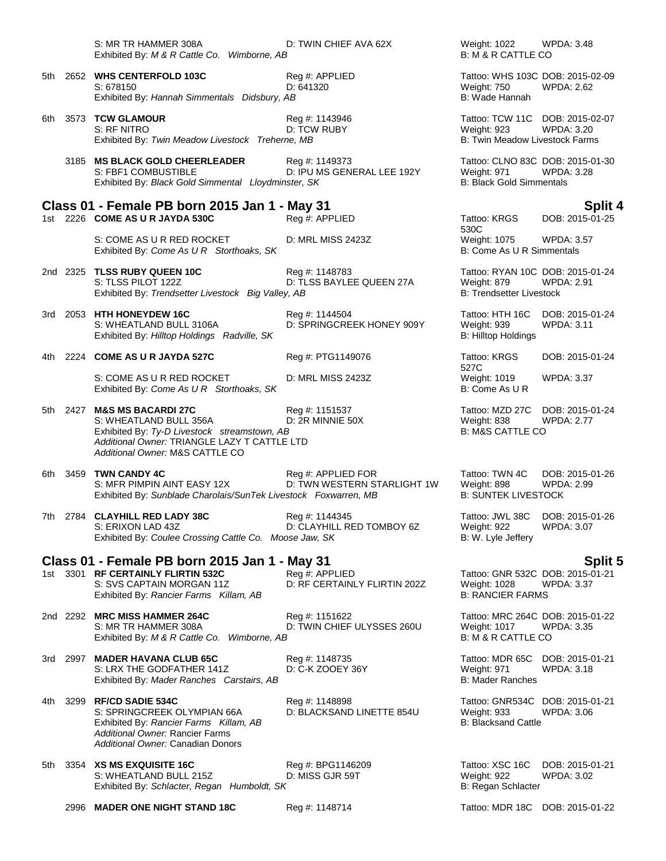|      | S: MR TR HAMMER 308A<br>Exhibited By: M & R Cattle Co. Wimborne, AB                                                                                                                      | D: TWIN CHIEF AVA 62X                             | Weight: 1022<br><b>B: M &amp; R CATTLE CO</b>                                            | WPDA: 3.48                           |
|------|------------------------------------------------------------------------------------------------------------------------------------------------------------------------------------------|---------------------------------------------------|------------------------------------------------------------------------------------------|--------------------------------------|
| 5th  | 2652 WHS CENTERFOLD 103C<br>S: 678150<br>Exhibited By: Hannah Simmentals Didsbury, AB                                                                                                    | Reg #: APPLIED<br>D: 641320                       | Tattoo: WHS 103C DOB: 2015-02-09<br>Weight: 750<br>B: Wade Hannah                        | WPDA: 2.62                           |
| 6th  | 3573 TCW GLAMOUR<br>S: RF NITRO<br>Exhibited By: Twin Meadow Livestock Treherne, MB                                                                                                      | Reg #: 1143946<br>D: TCW RUBY                     | Tattoo: TCW 11C DOB: 2015-02-07<br>Weight: 923<br>B: Twin Meadow Livestock Farms         | <b>WPDA: 3.20</b>                    |
|      | 3185 MS BLACK GOLD CHEERLEADER<br>S: FBF1 COMBUSTIBLE<br>Exhibited By: Black Gold Simmental Lloydminster, SK                                                                             | Reg #: 1149373<br>D: IPU MS GENERAL LEE 192Y      | Tattoo: CLNO 83C DOB: 2015-01-30<br>Weight: 971<br><b>B: Black Gold Simmentals</b>       | <b>WPDA: 3.28</b>                    |
|      | Class 01 - Female PB born 2015 Jan 1 - May 31                                                                                                                                            |                                                   |                                                                                          | <b>Split 4</b>                       |
|      | 1st 2226 COME AS U R JAYDA 530C                                                                                                                                                          | Reg #: APPLIED                                    | Tattoo: KRGS<br>530C                                                                     | DOB: 2015-01-25                      |
|      | S: COME AS U R RED ROCKET<br>Exhibited By: Come As U R Storthoaks, SK                                                                                                                    | D: MRL MISS 2423Z                                 | Weight: 1075<br><b>B: Come As U R Simmentals</b>                                         | WPDA: 3.57                           |
|      | 2nd 2325 TLSS RUBY QUEEN 10C<br>S: TLSS PILOT 122Z<br>Exhibited By: Trendsetter Livestock Big Valley, AB                                                                                 | Reg #: 1148783<br>D: TLSS BAYLEE QUEEN 27A        | Tattoo: RYAN 10C DOB: 2015-01-24<br>Weight: 879<br><b>B: Trendsetter Livestock</b>       | <b>WPDA: 2.91</b>                    |
|      | 3rd 2053 HTH HONEYDEW 16C<br>S: WHEATLAND BULL 3106A<br>Exhibited By: Hilltop Holdings Radville, SK                                                                                      | Reg #: 1144504<br>D: SPRINGCREEK HONEY 909Y       | Tattoo: HTH 16C<br>Weight: 939<br><b>B: Hilltop Holdings</b>                             | DOB: 2015-01-24<br><b>WPDA: 3.11</b> |
| 4th. | 2224 COME AS U R JAYDA 527C                                                                                                                                                              | Reg #: PTG1149076                                 | Tattoo: KRGS<br>527C                                                                     | DOB: 2015-01-24                      |
|      | S: COME AS U R RED ROCKET<br>Exhibited By: Come As U R Storthoaks, SK                                                                                                                    | D: MRL MISS 2423Z                                 | Weight: 1019<br>B: Come As U R                                                           | <b>WPDA: 3.37</b>                    |
|      | 5th 2427 M&S MS BACARDI 27C<br>S: WHEATLAND BULL 356A<br>Exhibited By: Ty-D Livestock streamstown, AB<br>Additional Owner: TRIANGLE LAZY T CATTLE LTD<br>Additional Owner: M&S CATTLE CO | Reg #: 1151537<br>D: 2R MINNIE 50X                | Tattoo: MZD 27C<br>Weight: 838<br><b>B: M&amp;S CATTLE CO</b>                            | DOB: 2015-01-24<br><b>WPDA: 2.77</b> |
| 6th  | 3459 TWN CANDY 4C<br>S: MFR PIMPIN AINT EASY 12X<br>Exhibited By: Sunblade Charolais/SunTek Livestock Foxwarren, MB                                                                      | Reg #: APPLIED FOR<br>D: TWN WESTERN STARLIGHT 1W | Tattoo: TWN 4C<br>Weight: 898<br><b>B: SUNTEK LIVESTOCK</b>                              | DOB: 2015-01-26<br><b>WPDA: 2.99</b> |
|      | 7th 2784 CLAYHILL RED LADY 38C<br>S: ERIXON LAD 43Z<br>Exhibited By: Coulee Crossing Cattle Co. Moose Jaw, SK                                                                            | Reg #: 1144345<br>D: CLAYHILL RED TOMBOY 6Z       | Tattoo: JWL 38C<br>Weight: 922<br>B: W. Lyle Jeffery                                     | DOB: 2015-01-26<br>WPDA: 3.07        |
|      | Class 01 - Female PB born 2015 Jan 1 - May 31                                                                                                                                            |                                                   |                                                                                          | <b>Split 5</b>                       |
|      | 1st 3301 RF CERTAINLY FLIRTIN 532C<br>S: SVS CAPTAIN MORGAN 11Z<br>Exhibited By: Rancier Farms Killam, AB                                                                                | Reg #: APPLIED<br>D: RF CERTAINLY FLIRTIN 202Z    | Tattoo: GNR 532C DOB: 2015-01-21<br><b>Weight: 1028</b><br><b>B: RANCIER FARMS</b>       | <b>WPDA: 3.37</b>                    |
|      | 2nd 2292 MRC MISS HAMMER 264C<br>S: MR TR HAMMER 308A<br>Exhibited By: M & R Cattle Co. Wimborne, AB                                                                                     | Reg #: 1151622<br>D: TWIN CHIEF ULYSSES 260U      | Tattoo: MRC 264C DOB: 2015-01-22<br><b>Weight: 1017</b><br><b>B: M &amp; R CATTLE CO</b> | <b>WPDA: 3.35</b>                    |
|      | 3rd 2997 MADER HAVANA CLUB 65C<br>S: LRX THE GODFATHER 141Z<br>Exhibited By: Mader Ranches Carstairs, AB                                                                                 | Reg #: 1148735<br>D: C-K ZOOEY 36Y                | Tattoo: MDR 65C<br>Weight: 971<br><b>B: Mader Ranches</b>                                | DOB: 2015-01-21<br>WPDA: 3.18        |
| 4th. | 3299 RF/CD SADIE 534C<br>S: SPRINGCREEK OLYMPIAN 66A<br>Exhibited By: Rancier Farms Killam, AB<br><b>Additional Owner: Rancier Farms</b><br>Additional Owner: Canadian Donors            | Reg #: 1148898<br>D: BLACKSAND LINETTE 854U       | Tattoo: GNR534C DOB: 2015-01-21<br>Weight: 933<br><b>B: Blacksand Cattle</b>             | WPDA: 3.06                           |
| 5th  | 3354 XS MS EXQUISITE 16C<br>S: WHEATLAND BULL 215Z<br>Exhibited By: Schlacter, Regan Humboldt, SK                                                                                        | Reg #: BPG1146209<br>D: MISS GJR 59T              | Tattoo: XSC 16C<br>Weight: 922<br>B: Regan Schlacter                                     | DOB: 2015-01-21<br><b>WPDA: 3.02</b> |

2996 **MADER ONE NIGHT STAND 18C** Reg #: 1148714 Tattoo: MDR 18C DOB: 2015-01-22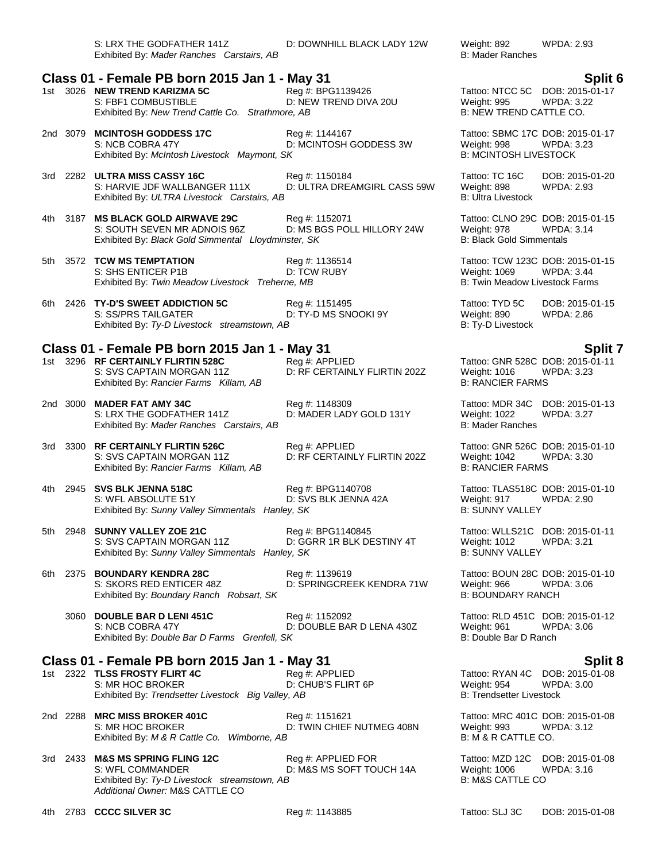S: LRX THE GODFATHER 141Z D: DOWNHILL BLACK LADY 12W Weight: 892 WPDA: 2.93 Exhibited By: *Mader Ranches Carstairs, AB* B: Mader Ranches B: Mader Ranches

## **Class 01 - Female PB born 2015 Jan 1 - May 31 Split 6**

|  | 1st 3026 NEW TREND KARIZMA 5C                     | Reg #: BPG1139426     |
|--|---------------------------------------------------|-----------------------|
|  | S: FBF1 COMBUSTIBLE                               | D: NEW TREND DIVA 20U |
|  | Exhibited By: New Trend Cattle Co. Strathmore, AB |                       |

- 2nd 3079 **MCINTOSH GODDESS 17C** Reg #: 1144167 Tattoo: SBMC 17C DOB: 2015-01-17 Exhibited By: McIntosh Livestock Maymont, SK
- 3rd 2282 **ULTRA MISS CASSY 16C** Reg #: 1150184 Tattoo: TC 16C DOB: 2015-01-20 S: HARVIE JDF WALLBANGER 111X D: ULTRA DREAMGIRL CASS 59W Weight: 898 WPDA: 2.93<br>Exhibited By: *ULTRA Livestock Carstairs. AB* B: Ultra Livestock B: Ultra Livestock Exhibited By: ULTRA Livestock Carstairs, AB
- 4th 3187 **MS BLACK GOLD AIRWAVE 29C** Reg #: 1152071 Tattoo: CLNO 29C DOB: 2015-01-15 S: SOUTH SEVEN MR ADNOIS 96Z D: MS BGS POLL HILLORY 24W Weight: 978 WPDA: 3.14<br>Exhibited By: Black Gold Simmental Lloydminster, SK B: Black Gold Simmentals Exhibited By: *Black Gold Simmental Lloydminster, SK*
- 5th 3572 **TCW MS TEMPTATION Reg #: 1136514** Tattoo: TCW 123C DOB: 2015-01-15<br>S: SHS ENTICER P1B D: TCW RUBY Meight: 1069 WPDA: 3.44 S: SHS ENTICER P1B D: TCW RUBY Weight: 1069 WPDA: 3.44 Exhibited By: Twin Meadow Livestock Treherne, MB
- 6th 2426 **TY-D'S SWEET ADDICTION 5C** Reg #: 1151495 Tattoo: TYD 5C DOB: 2015-01-15 S: SS/PRS TAILGATER **DIGEAL COMPTATION CONTROVITY** DETY-D MS SNOOKI 9Y Weight: 890 WPDA: 2.86 Exhibited By: Ty-D Livestock streamstown, AB B: Ty-D Livestock and B: Ty-D Livestock

## **Class 01 - Female PB born 2015 Jan 1 - May 31 Split 7**

- 1st 3296 **RF CERTAINLY FLIRTIN 528C** Reg #: APPLIED Tattoo: GNR 528C DOB: 2015-01-11<br>S: SVS CAPTAIN MORGAN 11Z D: RF CERTAINLY FLIRTIN 202Z Weight: 1016 WPDA: 3.23 Exhibited By: Rancier Farms Killam, AB
- 2nd 3000 **MADER FAT AMY 34C** Reg #: 1148309 Tattoo: MDR 34C DOB: 2015-01-13 S: LRX THE GODFATHER 141Z **D: MADER LADY GOLD 131Y** Weight: 1022<br>Exhibited By: *Mader Ranches Carstairs, AB* B: 3.377 B: Mader Ranches Exhibited By: Mader Ranches Carstairs, AB
- 3rd 3300 **RF CERTAINLY FLIRTIN 526C** Reg #: APPLIED Tattoo: GNR 526C DOB: 2015-01-10 S: SVS CAPTAIN MORGAN 11Z D: RF CERTAINLY FLIRTIN 202Z Weight: 1042 WPDA: 3.30 Exhibited By: *Rancier Farms Killam, AB* B: RANCIER FARMS
- 4th 2945 **SVS BLK JENNA 518C** Reg #: BPG1140708 Tattoo: TLAS518C DOB: 2015-01-10 S: WFL ABSOLUTE 51Y D: SVS BLK JENNA 42A Weight: 917 WPDA: 2.90 Exhibited By: *Sunny Valley Simmentals Hanley, SK* B: SUNNY VALLEY
- 5th 2948 **SUNNY VALLEY ZOE 21C** Reg #: BPG1140845 Tattoo: WLLS21C DOB: 2015-01-11 S: SVS CAPTAIN MORGAN 11Z D: GGRR 1R BLK DESTINY 4T Weight: 1012 WPDA: 3.21 Exhibited By: *Sunny Valley Simmentals Hanley, SK* B: SUNNY VALLEY
- 6th 2375 **BOUNDARY KENDRA 28C** Reg #: 1139619 Tattoo: BOUN 28C DOB: 2015-01-10 S: SKORS RED ENTICER 48Z D: SPRINGCREEK KENDRA 71W Weight: 966 WPDA: 3.06<br>Exhibited By: Boundary Ranch Robsart. SK B: BOUNDARY RANCH Exhibited By: Boundary Ranch Robsart, SK
	- 3060 **DOUBLE BAR D LENI 451C** Reg #: 1152092 Tattoo: RLD 451C DOB: 2015-01-12 S: NCB COBRA 47Y D: DOUBLE BAR D LENA 430Z Exhibited By: *Double Bar D Farms Grenfell, SK* B: Double Bar D Ranch

### **Class 01 - Female PB born 2015 Jan 1 - May 31 Split 8**

- 1st 2322 **TLSS FROSTY FLIRT 4C** Reg #: APPLIED Tattoo: RYAN 4C DOB: 2015-01-08<br>S: MR HOC BROKER D: CHUB'S FLIRT 6P Weight: 954 WPDA: 3.00 S: MR HOC BROKER Exhibited By: Trendsetter Livestock Big Valley, AB B: Trendsetter Livestock Big Valley, AB
- 2nd 2288 **MRC MISS BROKER 401C** Reg #: 1151621 Tattoo: MRC 401C DOB: 2015-01-08 S: MR HOC BROKER **D: TWIN CHIEF NUTMEG 408N** Weight: 993 WPDA: 3.12 Exhibited By: *M & R Cattle Co. Wimborne, AB* B: M & R CATTLE CO.
- 3rd 2433 **M&S MS SPRING FLING 12C** Reg #: APPLIED FOR Tattoo: MZD 12C DOB: 2015-01-08 S: WFL COMMANDER **DEXILLE ASSES ARE ARRICLED AT A COMMANDER** DEXILED BY MS SOFT TOUCH 14A Weight: 1006 WPDA: 3.16 Exhibited By: Ty-D Livestock streamstown, AB B: N&S CATTLE CO *Additional Owner:* M&S CATTLE CO

# Tattoo: NTCC 5C DOB: 2015-01-17 Weight: 995 WPDA: 3.22

B: **NEW TREND CATTLE CO.** 

D: MCINTOSH GODDESS 3W Weight: 998 WPDA: 3<br>3K B: MCINTOSH LIVESTOCK

D: RF CERTAINLY FLIRTIN 202Z Weight: 1016 W<br>B: RANCIER FARMS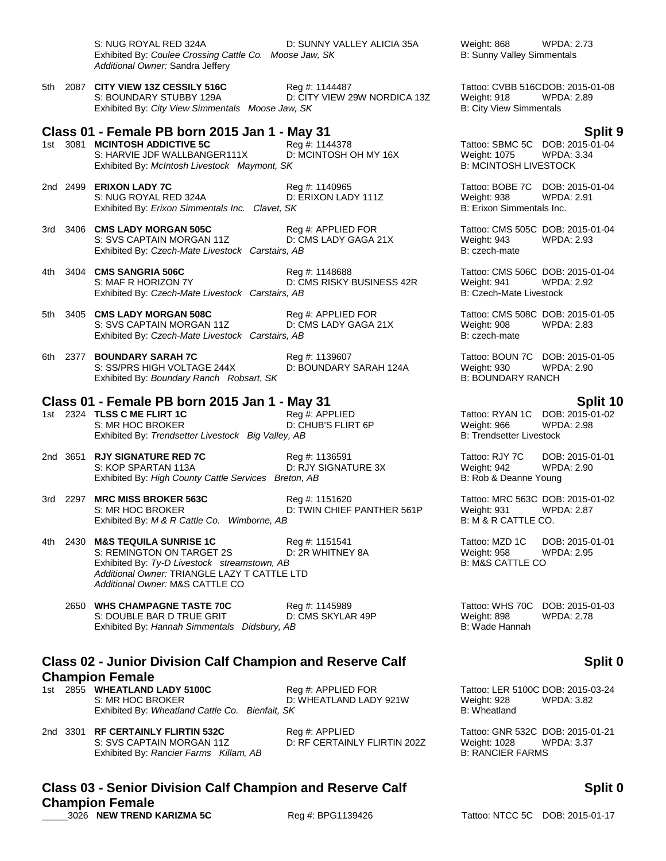|               | S: NUG ROYAL RED 324A<br>Exhibited By: Coulee Crossing Cattle Co. Moose Jaw, SK<br>Additional Owner: Sandra Jeffery                                                                             | D: SUNNY VALLEY ALICIA 35A                     | Weight: 868<br>WPDA: 2.73<br>B: Sunny Valley Simmentals                                                                |
|---------------|-------------------------------------------------------------------------------------------------------------------------------------------------------------------------------------------------|------------------------------------------------|------------------------------------------------------------------------------------------------------------------------|
|               | 5th 2087 CITY VIEW 13Z CESSILY 516C<br>S: BOUNDARY STUBBY 129A<br>Exhibited By: City View Simmentals Moose Jaw, SK                                                                              | Reg #: 1144487<br>D: CITY VIEW 29W NORDICA 13Z | Tattoo: CVBB 516CDOB: 2015-01-08<br>Weight: 918<br><b>WPDA: 2.89</b><br><b>B: City View Simmentals</b>                 |
|               | Class 01 - Female PB born 2015 Jan 1 - May 31<br>1st 3081 MCINTOSH ADDICTIVE 5C<br>S: HARVIE JDF WALLBANGER111X<br>Exhibited By: McIntosh Livestock Maymont, SK                                 | Reg #: 1144378<br>D: MCINTOSH OH MY 16X        | Split 9<br>Tattoo: SBMC 5C DOB: 2015-01-04<br><b>Weight: 1075</b><br><b>WPDA: 3.34</b><br><b>B: MCINTOSH LIVESTOCK</b> |
|               | 2nd 2499 ERIXON LADY 7C<br>S: NUG ROYAL RED 324A<br>Exhibited By: Erixon Simmentals Inc. Clavet, SK                                                                                             | Reg #: 1140965<br>D: ERIXON LADY 111Z          | Tattoo: BOBE 7C DOB: 2015-01-04<br>Weight: 938<br><b>WPDA: 2.91</b><br>B: Erixon Simmentals Inc.                       |
|               | 3rd 3406 CMS LADY MORGAN 505C<br>S: SVS CAPTAIN MORGAN 11Z<br>Exhibited By: Czech-Mate Livestock Carstairs, AB                                                                                  | Reg #: APPLIED FOR<br>D: CMS LADY GAGA 21X     | Tattoo: CMS 505C DOB: 2015-01-04<br>Weight: 943<br><b>WPDA: 2.93</b><br>B: czech-mate                                  |
| 4th -         | 3404 CMS SANGRIA 506C<br>S: MAF R HORIZON 7Y<br>Exhibited By: Czech-Mate Livestock Carstairs, AB                                                                                                | Reg #: 1148688<br>D: CMS RISKY BUSINESS 42R    | Tattoo: CMS 506C DOB: 2015-01-04<br>Weight: 941<br><b>WPDA: 2.92</b><br><b>B: Czech-Mate Livestock</b>                 |
|               | 5th 3405 CMS LADY MORGAN 508C<br>S: SVS CAPTAIN MORGAN 11Z<br>Exhibited By: Czech-Mate Livestock Carstairs, AB                                                                                  | Reg #: APPLIED FOR<br>D: CMS LADY GAGA 21X     | Tattoo: CMS 508C DOB: 2015-01-05<br>Weight: 908<br><b>WPDA: 2.83</b><br>B: czech-mate                                  |
| 2377<br>6th - | <b>BOUNDARY SARAH 7C</b><br>S: SS/PRS HIGH VOLTAGE 244X<br>Exhibited By: Boundary Ranch Robsart, SK                                                                                             | Reg #: 1139607<br>D: BOUNDARY SARAH 124A       | Tattoo: BOUN 7C DOB: 2015-01-05<br><b>WPDA: 2.90</b><br>Weight: 930<br><b>B: BOUNDARY RANCH</b>                        |
|               | Class 01 - Female PB born 2015 Jan 1 - May 31<br>1st 2324 TLSS C ME FLIRT 1C<br>S: MR HOC BROKER<br>Exhibited By: Trendsetter Livestock Big Valley, AB                                          | Reg #: APPLIED<br>D: CHUB'S FLIRT 6P           | Split 10<br>Tattoo: RYAN 1C DOB: 2015-01-02<br>Weight: 966<br><b>WPDA: 2.98</b><br><b>B: Trendsetter Livestock</b>     |
|               | 2nd 3651 RJY SIGNATURE RED 7C<br>S: KOP SPARTAN 113A<br>Exhibited By: High County Cattle Services Breton, AB                                                                                    | Reg #: 1136591<br>D: RJY SIGNATURE 3X          | Tattoo: RJY 7C<br>DOB: 2015-01-01<br>Weight: 942<br>WPDA: 2.90<br>B: Rob & Deanne Young                                |
|               | 3rd 2297 MRC MISS BROKER 563C<br>S: MR HOC BROKER<br>Exhibited By: M & R Cattle Co. Wimborne, AB                                                                                                | Reg #: 1151620<br>D: TWIN CHIEF PANTHER 561P   | Tattoo: MRC 563C DOB: 2015-01-02<br>Weight: 931<br><b>WPDA: 2.87</b><br>B: M & R CATTLE CO.                            |
|               | 4th 2430 M&S TEQUILA SUNRISE 1C<br>S: REMINGTON ON TARGET 2S<br>Exhibited By: Ty-D Livestock streamstown, AB<br>Additional Owner: TRIANGLE LAZY T CATTLE LTD<br>Additional Owner: M&S CATTLE CO | Reg #: 1151541<br>D: 2R WHITNEY 8A             | Tattoo: MZD 1C<br>DOB: 2015-01-01<br>Weight: 958<br><b>WPDA: 2.95</b><br><b>B: M&amp;S CATTLE CO</b>                   |
|               | 2650 WHS CHAMPAGNE TASTE 70C<br>S: DOUBLE BAR D TRUE GRIT<br>Exhibited By: Hannah Simmentals Didsbury, AB                                                                                       | Reg #: 1145989<br>D: CMS SKYLAR 49P            | Tattoo: WHS 70C<br>DOB: 2015-01-03<br>Weight: 898<br><b>WPDA: 2.78</b><br>B: Wade Hannah                               |
|               | <b>Class 02 - Junior Division Calf Champion and Reserve Calf</b>                                                                                                                                |                                                | Split 0                                                                                                                |
|               | <b>Champion Female</b><br>1st 2855 WHEATLAND LADY 5100C<br>S: MR HOC BROKER<br>Exhibited By: Wheatland Cattle Co. Bienfait, SK                                                                  | Reg #: APPLIED FOR<br>D: WHEATLAND LADY 921W   | Tattoo: LER 5100C DOB: 2015-03-24<br>Weight: 928<br><b>WPDA: 3.82</b><br><b>B:</b> Wheatland                           |

2nd 3301 **RF CERTAINLY FLIRTIN 532C** Reg #: APPLIED Tattoo: GNR 532C DOB: 2015-01-21 S: SVS CAPTAIN MORGAN 11Z D: RF CERTAINLY FLIRTIN 202Z Weight: 1028 WPDA: 3.37<br>Exhibited By: Rancier Farms Killam, AB B: RANCIER FARMS

# **Split 0**

Exhibited By: Rancier Farms Killam, AB

**Champion Female**<br>3026 NEW TREND KARIZMA 5C

**Class 03 - Senior Division Calf Champion and Reserve Calf** 

### Reg #: BPG1139426 Tattoo: NTCC 5C DOB: 2015-01-17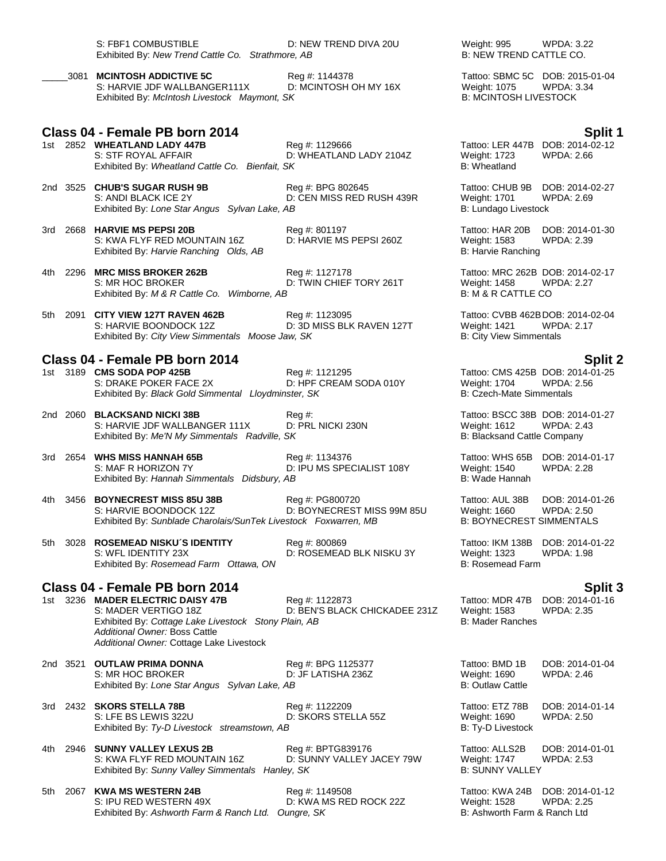| S: FBF1 COMBUSTIBLE                               | D: NEW TREND DIVA 20U | <b>WPDA: 3.22</b><br>Weight: 995 |
|---------------------------------------------------|-----------------------|----------------------------------|
| Exhibited By: New Trend Cattle Co. Strathmore, AB |                       | B: NEW TREND CATTLE CO.          |

\_\_\_\_\_3081 **MCINTOSH ADDICTIVE 5C** Reg #: 1144378 Tattoo: SBMC 5C DOB: 2015-01-04 S: HARVIE JDF WALLBANGER111X D: MCINTOSH OH MY 16X Weight: 1075 Exhibited By: *McIntosh Livestock Maymont, SK* B: MCINTOSH LIVESTOCK

- **Class 04 - Female PB born 2014 Split 1** S: STF ROYAL AFFAIR D: WHEATLAND LADY 2104Z Weight: 1723 WPDA: 2.66 Exhibited By: Wheatland Cattle Co. Bienfait, SK
- 2nd 3525 **CHUB'S SUGAR RUSH 9B** Reg #: BPG 802645 Tattoo: CHUB 9B DOB: 2014-02-27 Exhibited By: *Lone Star Angus Sylvan Lake, AB* B: Lundago Livestock B: Lundago Livestock
- 3rd 2668 **HARVIE MS PEPSI 20B** Reg #: 801197 Tattoo: HAR 20B DOB: 2014-01-30 S: KWA FLYF RED MOUNTAIN 16Z D: HARVIE MS PEPSI 260Z Weight: 1583 WPDA: 2.39 Exhibited By: *Harvie Ranching Olds, AB* B: Harvie Ranching B: Harvie Ranching

- 4th 2296 **MRC MISS BROKER 262B** Reg #: 1127178 Tattoo: MRC 262B DOB: 2014-02-17 S: MR HOC BROKER **D: TWIN CHIEF TORY 261T** Weight: 1458 WPDA: 2.27<br>Exhibited Bv: M & R Cattle Co. Wimborne. AB B: M & R CATTLE CO Exhibited By: M & R Cattle Co. Wimborne, AB
- 5th 2091 **CITY VIEW 127T RAVEN 462B** Reg #: 1123095 Reg **Example 2014-02-04**<br>S: HARVIE BOONDOCK 12Z D: 3D MISS BLK RAVEN 127T Weight: 1421 WPDA: 2.17 D: 3D MISS BLK RAVEN 127T Weight: 1421 Exhibited By: *City View Simmentals Moose Jaw, SK* B: City View Simmentals

### **Class 04 - Female PB born 2014 Split 2**

- 1st 3189 **CMS SODA POP 425B Reg #: 1121295** Reg #: 1121295 Tattoo: CMS 425B DOB: 2014-01-25<br>S: DRAKE POKER FACE 2X D: HPF CREAM SODA 010Y Weight: 1704 WPDA: 2.56 S: DRAKE POKER FACE 2X D: HPF CREAM SODA 010Y Weight: 1704 WPDA:<br>Exhibited By: *Black Gold Simmental Llovdminster. SK* B: Czech-Mate Simmentals Exhibited By: Black Gold Simmental Lloydminster, SK
- 2nd 2060 **BLACKSAND NICKI 38B** Reg #: Tattoo: BSCC 38B DOB: 2014-01-27 S: HARVIE JDF WALLBANGER 111X D: PRL NICKI 230N Weight: 1612 WPDA: 2.<br>Exhibited By: Me'N My Simmentals Radville, SK B: Blacksand Cattle Company Exhibited By: Me'N My Simmentals Radville, SK
- 3rd 2654 **WHS MISS HANNAH 65B** Reg #: 1134376 Reg 5 Tattoo: WHS 65B DOB: 2014-01-17<br>S: MAF R HORIZON 7Y D: IPU MS SPECIALIST 108Y Weight: 1540 WPDA: 2.28 Exhibited By: Hannah Simmentals Didsbury, AB
- 4th 3456 **BOYNECREST MISS 85U 38B** Reg #: PG800720 Tattoo: AUL 38B DOB: 2014-01-26 S: HARVIE BOONDOCK 12Z D: BOYNECREST MISS 99M 85U Weight: 1660 WPDA: 2.50 Exhibited By: Sunblade Charolais/SunTek Livestock Foxwarren, MB
- 5th 3028 **ROSEMEAD NISKU´S IDENTITY** Reg #: 800869 Tattoo: IKM 138B DOB: 2014-01-22 S: WFL IDENTITY 23X D: ROSEMEAD BLK NISKU 3Y Weight: 1323 Exhibited By: *Rosemead Farm Ottawa, ON* B: Rosemead Farm B: Rosemead Farm

### **Class 04 - Female PB born 2014 Split 3**

1st 3236 **MADER ELECTRIC DAISY 47B** Reg #: 1122873 Tattoo: MDR 47B DOB: 2014-01-16 S: MADER VERTIGO 18Z **D: BEN'S BLACK CHICKADEE 231Z** Weight: 1583 WPDA: 2.35<br>Exhibited By: Cottage Lake Livestock Stony Plain. AB B: Mader Ranches Exhibited By: Cottage Lake Livestock Stony Plain, AB *Additional Owner:* Boss Cattle *Additional Owner:* Cottage Lake Livestock

2nd 3521 **OUTLAW PRIMA DONNA** Reg #: BPG 1125377 Tattoo: BMD 1B DOB: 2014-01-04<br>S: MR HOC BROKER D: JF LATISHA 236Z Weight: 1690 WPDA: 2.46 S: MR HOC BROKER Exhibited By: *Lone Star Angus Sylvan Lake, AB* B: Outlaw Cattle By: Outlaw Cattle

- 3rd 2432 **SKORS STELLA 78B** Reg #: 1122209 Tattoo: ETZ 78B DOB: 2014-01-14 S: LFE BS LEWIS 322U D: SKORS STELLA 55Z Weight: 1690 WPDA: 2.50 Exhibited By: Ty-D Livestock streamstown, AB B: Ty-D Livestock
- 4th 2946 **SUNNY VALLEY LEXUS 2B** Reg #: BPTG839176 Tattoo: ALLS2B DOB: 2014-01-01 S: KWA FLYF RED MOUNTAIN 16Z D: SUNNY VALLEY JACEY 79W Weight: 1747 WPDA: 2.53<br>Exhibited By: Sunny Valley Simmentals Hanley, SK B: SUNNY VALLEY Exhibited By: Sunny Valley Simmentals Hanley, SK
- 5th 2067 **KWA MS WESTERN 24B** Reg #: 1149508 Tattoo: KWA 24B DOB: 2014-01-12 S: IPU RED WESTERN 49X D: KWA MS RED ROCK 22Z Weight: 1528 WPDA: 2.25 Exhibited By: Ashworth Farm & Ranch Ltd. Oungre, SK B: Ashworth Farm & Ranch Ltd

B: **NEW TREND CATTLE CO.** 

Reg #: 1129666 Tattoo: LER 447B DOB: 2014-02-12

D: CEN MISS RED RUSH 439R Weight: 1701

D: IPU MS SPECIALIST 108Y Weight: 1540 WPDA: 2.28<br>AB B: Wade Hannah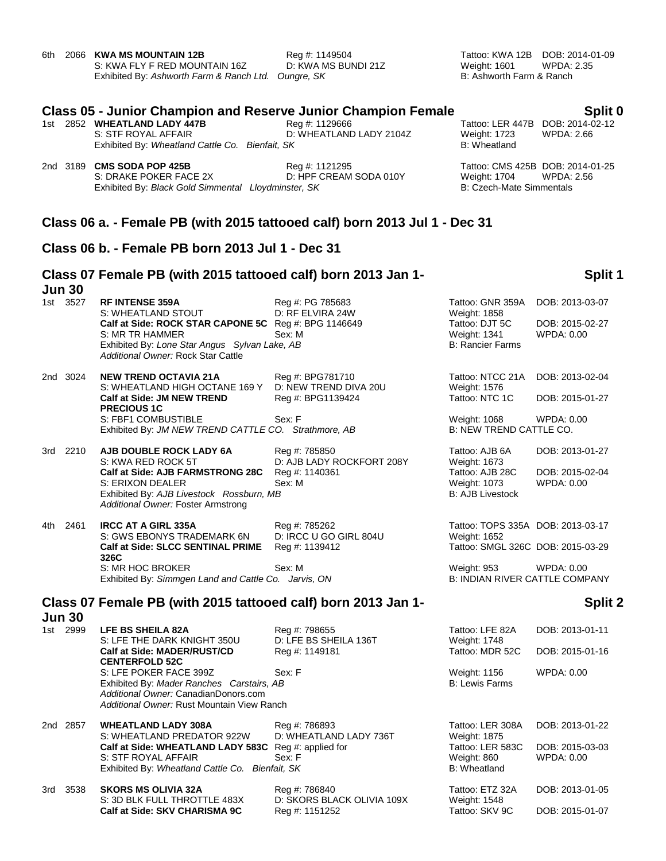|               | 6th 2066 KWA MS MOUNTAIN 12B<br>S: KWA FLY F RED MOUNTAIN 16Z<br>Exhibited By: Ashworth Farm & Ranch Ltd. Oungre, SK                                                                 | Reg #: 1149504<br>D: KWA MS BUNDI 21Z        | <b>Weight: 1601</b><br>B: Ashworth Farm & Ranch                                  | Tattoo: KWA 12B DOB: 2014-01-09<br><b>WPDA: 2.35</b>             |
|---------------|--------------------------------------------------------------------------------------------------------------------------------------------------------------------------------------|----------------------------------------------|----------------------------------------------------------------------------------|------------------------------------------------------------------|
|               | <b>Class 05 - Junior Champion and Reserve Junior Champion Female</b><br>1st 2852 WHEATLAND LADY 447B<br>S: STF ROYAL AFFAIR<br>Exhibited By: Wheatland Cattle Co. Bienfait, SK       | Reg #: 1129666<br>D: WHEATLAND LADY 2104Z    | Weight: 1723<br>B: Wheatland                                                     | Split 0<br>Tattoo: LER 447B DOB: 2014-02-12<br><b>WPDA: 2.66</b> |
|               | 2nd 3189 CMS SODA POP 425B<br>S: DRAKE POKER FACE 2X<br>Exhibited By: Black Gold Simmental Lloydminster, SK                                                                          | Reg #: 1121295<br>D: HPF CREAM SODA 010Y     | <b>Weight: 1704</b><br><b>B: Czech-Mate Simmentals</b>                           | Tattoo: CMS 425B DOB: 2014-01-25<br><b>WPDA: 2.56</b>            |
|               | Class 06 a. - Female PB (with 2015 tattooed calf) born 2013 Jul 1 - Dec 31                                                                                                           |                                              |                                                                                  |                                                                  |
|               | Class 06 b. - Female PB born 2013 Jul 1 - Dec 31                                                                                                                                     |                                              |                                                                                  |                                                                  |
| <b>Jun 30</b> | Class 07 Female PB (with 2015 tattooed calf) born 2013 Jan 1-                                                                                                                        |                                              |                                                                                  | Split 1                                                          |
| 1st 3527      | <b>RF INTENSE 359A</b>                                                                                                                                                               | Reg #: PG 785683                             | Tattoo: GNR 359A                                                                 | DOB: 2013-03-07                                                  |
|               | S: WHEATLAND STOUT<br>Calf at Side: ROCK STAR CAPONE 5C Reg #: BPG 1146649<br>S: MR TR HAMMER<br>Exhibited By: Lone Star Angus Sylvan Lake, AB<br>Additional Owner: Rock Star Cattle | D: RF ELVIRA 24W<br>Sex: M                   | Weight: 1858<br>Tattoo: DJT 5C<br><b>Weight: 1341</b><br><b>B: Rancier Farms</b> | DOB: 2015-02-27<br>WPDA: 0.00                                    |
| 2nd 3024      | <b>NEW TREND OCTAVIA 21A</b>                                                                                                                                                         | Reg #: BPG781710                             | Tattoo: NTCC 21A                                                                 | DOB: 2013-02-04                                                  |
|               | S: WHEATLAND HIGH OCTANE 169 Y D: NEW TREND DIVA 20U<br><b>Calf at Side: JM NEW TREND</b><br><b>PRECIOUS 1C</b>                                                                      | Reg #: BPG1139424                            | Weight: 1576<br>Tattoo: NTC 1C                                                   | DOB: 2015-01-27                                                  |
|               | S: FBF1 COMBUSTIBLE<br>Exhibited By: JM NEW TREND CATTLE CO. Strathmore, AB                                                                                                          | Sex: F                                       | Weight: 1068<br>B: NEW TREND CATTLE CO.                                          | WPDA: 0.00                                                       |
| 3rd 2210      | AJB DOUBLE ROCK LADY 6A<br>S: KWA RED ROCK 5T                                                                                                                                        | Reg #: 785850<br>D: AJB LADY ROCKFORT 208Y   | Tattoo: AJB 6A<br>Weight: 1673                                                   | DOB: 2013-01-27                                                  |
|               | Calf at Side: AJB FARMSTRONG 28C<br>S: ERIXON DEALER<br>Exhibited By: AJB Livestock Rossburn, MB<br>Additional Owner: Foster Armstrong                                               | Reg #: 1140361<br>Sex: M                     | Tattoo: AJB 28C<br>Weight: 1073<br><b>B: AJB Livestock</b>                       | DOB: 2015-02-04<br>WPDA: 0.00                                    |
| 4th 2461      | <b>IRCC AT A GIRL 335A</b><br>S: GWS EBONYS TRADEMARK 6N                                                                                                                             | Reg #: 785262<br>D: IRCC U GO GIRL 804U      | Tattoo: TOPS 335A DOB: 2013-03-17<br>Weight: 1652                                |                                                                  |
|               | Calf at Side: SLCC SENTINAL PRIME<br>326C                                                                                                                                            | Reg #: 1139412                               | Tattoo: SMGL 326C DOB: 2015-03-29                                                |                                                                  |
|               | S: MR HOC BROKER<br>Exhibited By: Simmgen Land and Cattle Co. Jarvis, ON                                                                                                             | Sex: M                                       | Weight: 953<br><b>B: INDIAN RIVER CATTLE COMPANY</b>                             | WPDA: 0.00                                                       |
| <b>Jun 30</b> | Class 07 Female PB (with 2015 tattooed calf) born 2013 Jan 1-                                                                                                                        |                                              |                                                                                  | Split 2                                                          |
| 1st 2999      | <b>LFE BS SHEILA 82A</b><br>S: LFE THE DARK KNIGHT 350U                                                                                                                              | Reg #: 798655<br>D: LFE BS SHEILA 136T       | Tattoo: LFE 82A<br><b>Weight: 1748</b>                                           | DOB: 2013-01-11                                                  |
|               | <b>Calf at Side: MADER/RUST/CD</b><br><b>CENTERFOLD 52C</b>                                                                                                                          | Reg #: 1149181                               | Tattoo: MDR 52C                                                                  | DOB: 2015-01-16                                                  |
|               | S: LFE POKER FACE 399Z<br>Exhibited By: Mader Ranches Carstairs, AB<br>Additional Owner: CanadianDonors.com<br>Additional Owner: Rust Mountain View Ranch                            | Sex: F                                       | Weight: 1156<br><b>B: Lewis Farms</b>                                            | WPDA: 0.00                                                       |
| 2nd 2857      | <b>WHEATLAND LADY 308A</b>                                                                                                                                                           | Reg #: 786893<br>D: WHEATLAND LADY 736T      | Tattoo: LER 308A                                                                 | DOB: 2013-01-22                                                  |
|               | S: WHEATLAND PREDATOR 922W<br>Calf at Side: WHEATLAND LADY 583C Reg #: applied for<br>S: STF ROYAL AFFAIR<br>Exhibited By: Wheatland Cattle Co. Bienfait, SK                         | Sex: F                                       | Weight: 1875<br>Tattoo: LER 583C<br>Weight: 860<br>B: Wheatland                  | DOB: 2015-03-03<br>WPDA: 0.00                                    |
| 3538<br>3rd   | <b>SKORS MS OLIVIA 32A</b>                                                                                                                                                           | Reg #: 786840                                | Tattoo: ETZ 32A                                                                  | DOB: 2013-01-05                                                  |
|               | S: 3D BLK FULL THROTTLE 483X<br>Calf at Side: SKV CHARISMA 9C                                                                                                                        | D: SKORS BLACK OLIVIA 109X<br>Reg #: 1151252 | Weight: 1548<br>Tattoo: SKV 9C                                                   | DOB: 2015-01-07                                                  |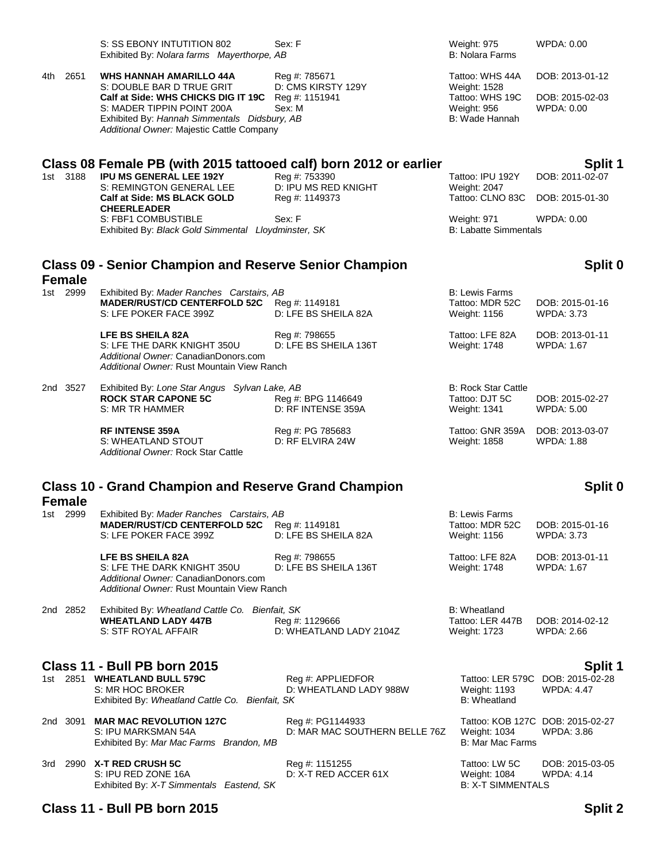|                                                             |                                         | Exhibited By: Nolara farms Mayerthorpe, AB                                                                                                                                                                                                   |                                                         | <b>B: Nolara Farms</b>                                                              |                                                         |  |
|-------------------------------------------------------------|-----------------------------------------|----------------------------------------------------------------------------------------------------------------------------------------------------------------------------------------------------------------------------------------------|---------------------------------------------------------|-------------------------------------------------------------------------------------|---------------------------------------------------------|--|
|                                                             | 4th 2651                                | <b>WHS HANNAH AMARILLO 44A</b><br>S: DOUBLE BAR D TRUE GRIT<br>Calf at Side: WHS CHICKS DIG IT 19C Reg #: 1151941<br>S: MADER TIPPIN POINT 200A<br>Exhibited By: Hannah Simmentals Didsbury, AB<br>Additional Owner: Majestic Cattle Company | Reg #: 785671<br>D: CMS KIRSTY 129Y<br>Sex: M           | Tattoo: WHS 44A<br>Weight: 1528<br>Tattoo: WHS 19C<br>Weight: 956<br>B: Wade Hannah | DOB: 2013-01-12<br>DOB: 2015-02-03<br><b>WPDA: 0.00</b> |  |
|                                                             | 1st 3188                                | Class 08 Female PB (with 2015 tattooed calf) born 2012 or earlier<br><b>IPU MS GENERAL LEE 192Y</b><br>S: REMINGTON GENERAL LEE<br><b>Calf at Side: MS BLACK GOLD</b><br><b>CHEERLEADER</b>                                                  | Reg #: 753390<br>D: IPU MS RED KNIGHT<br>Reg #: 1149373 | Tattoo: IPU 192Y<br>Weight: 2047<br>Tattoo: CLNO 83C                                | Split 1<br>DOB: 2011-02-07<br>DOB: 2015-01-30           |  |
|                                                             |                                         | S: FBF1 COMBUSTIBLE<br>Exhibited By: Black Gold Simmental Lloydminster, SK                                                                                                                                                                   | Sex: F                                                  | Weight: 971<br><b>B: Labatte Simmentals</b>                                         | WPDA: 0.00                                              |  |
|                                                             | <b>Female</b>                           | <b>Class 09 - Senior Champion and Reserve Senior Champion</b>                                                                                                                                                                                |                                                         |                                                                                     | Split 0                                                 |  |
|                                                             | 1st 2999                                | Exhibited By: Mader Ranches Carstairs, AB<br>MADER/RUST/CD CENTERFOLD 52C Reg #: 1149181<br>S: LFE POKER FACE 399Z                                                                                                                           | D: LFE BS SHEILA 82A                                    | <b>B: Lewis Farms</b><br>Tattoo: MDR 52C<br>Weight: 1156                            | DOB: 2015-01-16<br><b>WPDA: 3.73</b>                    |  |
|                                                             |                                         | LFE BS SHEILA 82A<br>S: LFE THE DARK KNIGHT 350U<br>Additional Owner: CanadianDonors.com<br>Additional Owner: Rust Mountain View Ranch                                                                                                       | Reg #: 798655<br>D: LFE BS SHEILA 136T                  | Tattoo: LFE 82A<br><b>Weight: 1748</b>                                              | DOB: 2013-01-11<br>WPDA: 1.67                           |  |
|                                                             | 2nd 3527                                | Exhibited By: Lone Star Angus Sylvan Lake, AB<br><b>ROCK STAR CAPONE 5C</b><br>S: MR TR HAMMER                                                                                                                                               | Reg #: BPG 1146649<br>D: RF INTENSE 359A                | <b>B: Rock Star Cattle</b><br>Tattoo: DJT 5C<br>Weight: 1341                        | DOB: 2015-02-27<br><b>WPDA: 5.00</b>                    |  |
|                                                             |                                         | <b>RF INTENSE 359A</b><br>S: WHEATLAND STOUT<br>Additional Owner: Rock Star Cattle                                                                                                                                                           | Reg #: PG 785683<br>D: RF ELVIRA 24W                    | Tattoo: GNR 359A<br>Weight: 1858                                                    | DOB: 2013-03-07<br>WPDA: 1.88                           |  |
| <b>Class 10 - Grand Champion and Reserve Grand Champion</b> |                                         |                                                                                                                                                                                                                                              |                                                         |                                                                                     | Split 0                                                 |  |
|                                                             | <b>Female</b><br>1st 2999               | Exhibited By: Mader Ranches Carstairs, AB<br><b>MADER/RUST/CD CENTERFOLD 52C</b><br>S: LFE POKER FACE 399Z                                                                                                                                   | Reg #: 1149181<br>D: LFE BS SHEILA 82A                  | <b>B: Lewis Farms</b><br>Tattoo: MDR 52C<br>Weight: 1156                            | DOB: 2015-01-16<br><b>WPDA: 3.73</b>                    |  |
|                                                             |                                         | <b>LFE BS SHEILA 82A</b><br>S: LFE THE DARK KNIGHT 350U<br>Additional Owner: CanadianDonors.com<br>Additional Owner: Rust Mountain View Ranch                                                                                                | Reg #: 798655<br>D: LFE BS SHEILA 136T                  | Tattoo: LFE 82A<br>Weight: 1748                                                     | DOB: 2013-01-11<br>WPDA: 1.67                           |  |
|                                                             | 2nd 2852                                | Exhibited By: Wheatland Cattle Co. Bienfait, SK<br><b>WHEATLAND LADY 447B</b><br>S: STF ROYAL AFFAIR                                                                                                                                         | Reg #: 1129666<br>D: WHEATLAND LADY 2104Z               | B: Wheatland<br>Tattoo: LER 447B<br>Weight: 1723                                    | DOB: 2014-02-12<br>WPDA: 2.66                           |  |
|                                                             |                                         | Class 11 - Bull PB born 2015                                                                                                                                                                                                                 |                                                         |                                                                                     | Split 1                                                 |  |
|                                                             |                                         | 1st 2851 WHEATLAND BULL 579C<br>S: MR HOC BROKER<br>Exhibited By: Wheatland Cattle Co. Bienfait, SK                                                                                                                                          | Reg #: APPLIEDFOR<br>D: WHEATLAND LADY 988W             | Tattoo: LER 579C<br><b>Weight: 1193</b><br><b>B: Wheatland</b>                      | DOB: 2015-02-28<br>WPDA: 4.47                           |  |
|                                                             |                                         | 2nd 3091 MAR MAC REVOLUTION 127C<br>S: IPU MARKSMAN 54A<br>Exhibited By: Mar Mac Farms Brandon, MB                                                                                                                                           | Reg #: PG1144933<br>D: MAR MAC SOUTHERN BELLE 76Z       | Weight: 1034<br><b>B: Mar Mac Farms</b>                                             | Tattoo: KOB 127C DOB: 2015-02-27<br>WPDA: 3.86          |  |
|                                                             |                                         | 3rd 2990 X-T RED CRUSH 5C<br>S: IPU RED ZONE 16A<br>Exhibited By: X-T Simmentals Eastend, SK                                                                                                                                                 | Reg #: 1151255<br>D: X-T RED ACCER 61X                  | Tattoo: LW 5C<br>Weight: 1084<br><b>B: X-T SIMMENTALS</b>                           | DOB: 2015-03-05<br><b>WPDA: 4.14</b>                    |  |
|                                                             | Class 11 - Bull PB born 2015<br>Split 2 |                                                                                                                                                                                                                                              |                                                         |                                                                                     |                                                         |  |

S: SS EBONY INTUTITION 802 Sex: F Weight: 975 WPDA: 0.00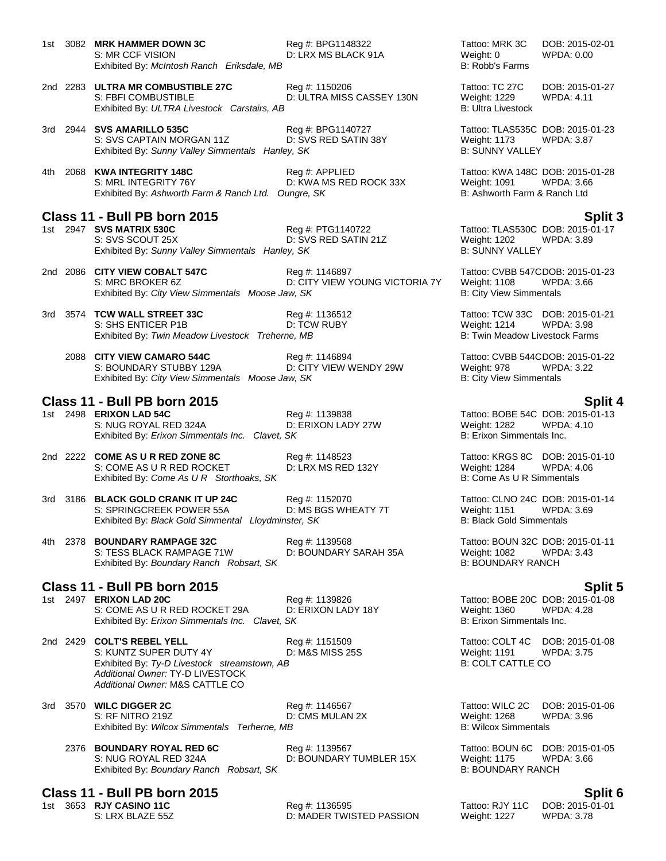1st 3082 **MRK HAMMER DOWN 3C** Reg #: BPG1148322 Tattoo: MRK 3C DOB: 2015-02-01 S: MR CCF VISION D: LRX MS BLACK 91A Weight: 0<br>Exhibited By: *McIntosh Ranch Eriksdale, MB* BLACK 91A B: Robb's Farms Exhibited By: McIntosh Ranch Eriksdale, MB

2nd 2283 **ULTRA MR COMBUSTIBLE 27C** Reg #: 1150206 Tattoo: TC 27C DOB: 2015-01-27 S: FBFI COMBUSTIBLE D: ULTRA MISS CASSEY 130N Weight: 1229 WPDA: 4.11 Exhibited By: *ULTRA Livestock Carstairs, AB* B: Ultra Livestock Carstairs, AB

- 3rd 2944 **SVS AMARILLO 535C** Reg #: BPG1140727 Tattoo: TLAS535C DOB: 2015-01-23 S: SVS CAPTAIN MORGAN 11Z D: SVS RED SATIN 38Y Weight: 1173 WPDA: 3.87<br>
Exhibited By: Sunny Valley Simmentals Hanley, SK B: SUNNY VALLEY Exhibited By: Sunny Valley Simmentals Hanley, SK
- 4th 2068 **KWA INTEGRITY 148C** Reg #: APPLIED Tattoo: KWA 148C DOB: 2015-01-28 S: MRL INTEGRITY 76Y **D: KWA MS RED ROCK 33X** Weight: 1091 WPDA: 3.66<br>Exhibited By: Ashworth Farm & Ranch Ltd. Oungre, SK B: Ashworth Farm & Ranch Ltd Exhibited By: Ashworth Farm & Ranch Ltd. Oungre, SK

# **Class 11 - Bull PB born 2015 Split 3**

**1st 200 SVS MATRIX 530C**<br>1st S: SVS SCOUT 25X<br>1st SvS SCOUT 25X **RED SATIN 21Z** Weight: 1202 WPDA: 3.89 Exhibited By: Sunny Valley Simmentals Hanley, SK

2nd 2086 **CITY VIEW COBALT 547C** Reg #: 1146897 Tattoo: CVBB 547CDOB: 2015-01-23 D: CITY VIEW YOUNG VICTORIA 7Y Exhibited By: *City View Simmentals Moose Jaw, SK* B: City View Simmentals B: City View Simmentals

- 3rd 3574 **TCW WALL STREET 33C** Reg #: 1136512 Tattoo: TCW 33C DOB: 2015-01-21 S: SHS ENTICER P1B D: TCW RUBY Weight: 1214 WPDA: 3.98 Exhibited By: *Twin Meadow Livestock Treherne, MB* B: Twin Meadow Livestock Farms
	- 2088 **CITY VIEW CAMARO 544C** Reg #: 1146894 Tattoo: CVBB 544CDOB: 2015-01-22 S: BOUNDARY STUBBY 129A D: CITY VIEW WENDY 29W Weight: 978 WPDA: 3.22 Exhibited By: *City View Simmentals Moose Jaw, SK* B: City View Simmentals **B**: City View Simmentals

# **Class 11 - Bull PB born 2015 Split 4**

S: NUG ROYAL RED 324A D: ERIXON LADY 27W Weight: 1282 WPDA: 5 MUG ROYAL RED 324A D: ERIXON LADY 27W B: Erixon Simmentals Inc. Exhibited By: *Erixon Simmentals Inc. Clavet, SK* 

- 2nd 2222 **COME AS U R RED ZONE 8C** Reg #: 1148523 Tattoo: KRGS 8C DOB: 2015-01-10 S: COME AS U R RED ROCKET 
D: LRX MS RED 132Y 
United By: Come As U R Storthoaks, SK
U R Simmentals
Stribited By: Come As U R Storthoaks, SK
U R Simmentals

Stribited By: Come As U R Storthoaks, SK
U R Simmentals

Come As Exhibited By: Come As U R Storthoaks, SK
- 3rd 3186 **BLACK GOLD CRANK IT UP 24C** Reg #: 1152070 Tattoo: CLNO 24C DOB: 2015-01-14 S: SPRINGCREEK POWER 55A D: MS BGS WHEATY 7T Weight: 1151 WPDA: 3.69 Exhibited By: *Black Gold Simmental Lloydminster, SK* B: Black Gold Simmentals

4th 2378 **BOUNDARY RAMPAGE 32C** Reg #: 1139568 Tattoo: BOUN 32C DOB: 2015-01-11 S: TESS BLACK RAMPAGE 71W D: BOUNDARY SARAH 35A Weight: 1082 WPDA: 3.43 Exhibited By: *Boundary Ranch Robsart, SK* B: **BOUNDARY RANCH** 

**Class 11 - Bull PB born 2015 Split 5** S: COME AS U R RED ROCKET 29A D: ERIXON LADY 18Y Weight: 1360 WPDA:<br>Exhibited By: *Erixon Simmentals Inc. Clavet. SK* B: Erixon Simmentals Inc. Exhibited By: *Erixon Simmentals Inc. Clavet, SK* 

2nd 2429 **COLT'S REBEL YELL** Reg #: 1151509 Tattoo: COLT 4C DOB: 2015-01-08<br>S: KUNTZ SUPER DUTY 4Y D: M&S MISS 25S Weight: 1191 WPDA: 3.75 S: KUNTZ SUPER DUTY 4Y D: M&S MISS 25S Weight: 1191 W<br>Exhibited By: Ty-D Livestock streamstown, AB B: COLT CATTLE CO Exhibited By: Ty-D Livestock streamstown, AB *Additional Owner:* TY-D LIVESTOCK *Additional Owner:* M&S CATTLE CO

- 3rd 3570 **WILC DIGGER 2C** Reg #: 1146567 Tattoo: WILC 2C DOB: 2015-01-06 S: RF NITRO 219Z D: CMS MULAN 2X Weight: 1268 WPDA: 3.96 Exhibited By: *Wilcox Simmentals Terherne, MB* B: Wilcox Simmentals **B: Wilcox Simmentals** 
	- 2376 **BOUNDARY ROYAL RED 6C** Reg #: 1139567 Tattoo: BOUN 6C DOB: 2015-01-05 S: NUG ROYAL RED 324A D: BOUNDARY TUMBLER 15X Weight: 1175 WPDA: 3.66 Exhibited By: *Boundary Ranch Robsart, SK* B: **BOUNDARY RANCH**

# **Class 11 - Bull PB born 2015 Split 6**

1st 3653 **RJY CASINO 11C** Reg #: 1136595 Tattoo: RJY 11C DOB: 2015-01-01 D: MADER TWISTED PASSION Weight: 1227

D: SVS RED SATIN 21Z Weight: 1202 WPDA: 3.89<br>
PV. SK B: SUNNY VALLEY

1st 2498 **Fattoo: BOBE 54C DOB: 2015-01-13**<br>19 ERIXON LADY 27W Meight: 1282 WPDA: 4.10

1st 2497 **ERIXON LAD 20C** Reg #: 1139826 Tattoo: BOBE 20C DOB: 2015-01-08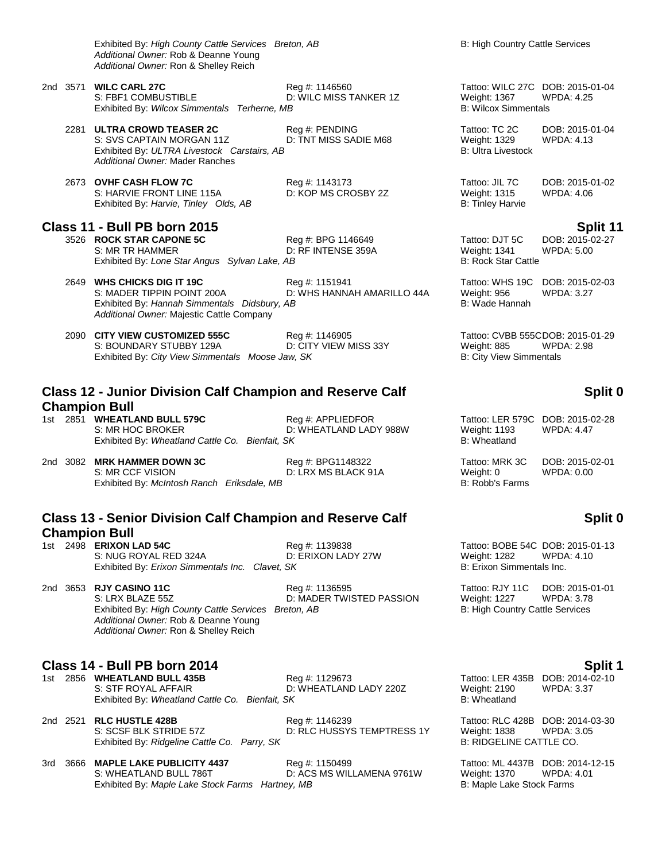Exhibited By: *High County Cattle Services Breton, AB* B: High Country Cattle Services *Additional Owner:* Rob & Deanne Young *Additional Owner:* Ron & Shelley Reich

- 2nd 3571 **WILC CARL 27C** Reg #: 1146560 Tattoo: WILC 27C DOB: 2015-01-04 S: FBF1 COMBUSTIBLE D: WILC MISS TANKER 1Z Weight: 1367 WPDA: 4.25 Exhibited By: *Wilcox Simmentals Terherne, MB* B: Wilcox Simmentals **B: Wilcox Simmentals** 
	- 2281 **ULTRA CROWD TEASER 2C** Reg #: PENDING Tattoo: TC 2C DOB: 2015-01-04 S: SVS CAPTAIN MORGAN 11Z D: TNT MISS SADIE M68 Weight: 1329 WPDA: 4.13<br>
	Exhibited By: ULTRA Livestock Carstairs, AB B: Ultra Livestock B: Ultra Livestock Exhibited By: ULTRA Livestock Carstairs, AB *Additional Owner:* Mader Ranches
	- 2673 **OVHF CASH FLOW 7C** Reg #: 1143173 Tattoo: JIL 7C DOB: 2015-01-02 S: HARVIE FRONT LINE 115A Exhibited By: *Harvie, Tinley Olds, AB* B: Tinley Harvie B: Tinley Harvie

- **Class 11 - Bull PB born 2015 Split 11** 3526 **ROCK STAR CAPONE 5C** Reg #: BPG 1146649 Tattoo: DJT 5C DOB: 2015-02-27 D: RF INTENSE 359A Exhibited By: *Lone Star Angus Sylvan Lake, AB* B: Rock Star Cattle
	- 2649 **WHS CHICKS DIG IT 19C** Reg #: 1151941 Tattoo: WHS 19C DOB: 2015-02-03 S: MADER TIPPIN POINT 200A D: WHS HANNAH AMARILLO 44A Weight: 956 WPDA: 3.27 Exhibited By: *Hannah Simmentals Didsbury, AB* B: Wade Hannah *Additional Owner:* Majestic Cattle Company
	- 2090 **CITY VIEW CUSTOMIZED 555C** Reg #: 1146905 Tattoo: CVBB 555CDOB: 2015-01-29 S: BOUNDARY STUBBY 129A D: CITY VIEW MISS 33Y Weight: 885 WPDA: 2.98 Exhibited By: *City View Simmentals Moose Jaw, SK* B: City View Simmentals B: City View Simmentals

## **Class 12 - Junior Division Calf Champion and Reserve Calf Champion Bull**

- 1st 2851 **WHEATLAND BULL 579C** Reg #: APPLIEDFOR Tattoo: LER 579C DOB: 2015-02-28<br>S: MR HOC BROKER D: WHEATLAND LADY 988W Weight: 1193 WPDA: 4.47 D: WHEATLAND LADY 988W Weight: 1193 Exhibited By: Wheatland Cattle Co. Bienfait, SK B: Wheatland B: Wheatland
- 2nd 3082 **MRK HAMMER DOWN 3C** Reg #: BPG1148322 Tattoo: MRK 3C DOB: 2015-02-01 S: MR CCF VISION D: LRX MS BLACK 91A Weight: 0 WPDA: 0.00 D: LRX MS BLACK 91A WEIGHT: 0 WPDA: 0.00 Exhibited By: McIntosh Ranch Eriksdale. MB Exhibited By: McIntosh Ranch Eriksdale, MB

# **Class 13 - Senior Division Calf Champion and Reserve Calf Champion Bull**<br>1st 2498 **ERIXON LAD 54C**

S: NUG ROYAL RED 324A D: ERIXON LADY 27W Weight: 1282 WPDA: 4.10<br>Exhibited By: *Erixon Simmentals Inc. Clavet. SK* B: Erixon Simmentals Inc. Exhibited By: *Erixon Simmentals Inc. Clavet, SK* 

2nd 3653 **RJY CASINO 11C** Reg #: 1136595 Tattoo: RJY 11C DOB: 2015-01-01 S: LRX BLAZE 55Z **D: MADER TWISTED PASSION** Weight: 1227 WPDA: 3.78<br>Exhibited By: *High County Cattle Services Breton, AB* B: High Country Cattle Services Exhibited By: *High County Cattle Services Breton, AB Additional Owner:* Rob & Deanne Young *Additional Owner:* Ron & Shelley Reich

**Class 14 - Bull PB born 2014 Split 1** S: STF ROYAL AFFAIR **D: WHEATLAND LADY 220Z** Weight: 2190 WPDA: 3.37<br>Exhibited By: Wheatland Cattle Co. Bienfait, SK **Bichold Bending** B: Wheatland Exhibited By: Wheatland Cattle Co. Bienfait, SK

Exhibited By: Maple Lake Stock Farms Hartney, MB

2nd 2521 **RLC HUSTLE 428B** Reg #: 1146239 Tattoo: RLC 428B DOB: 2014-03-30 S: SCSF BLK STRIDE 57Z D: RLC HUSSYS TEMPTRESS 1Y Weight: 1838 WPDA: 3.05<br>Exhibited By: Ridgeline Cattle Co. Parry, SK B: RIDGELINE CATTLE CO. Exhibited By: Ridgeline Cattle Co. Parry, SK

3rd 3666 **MAPLE LAKE PUBLICITY 4437** Reg #: 1150499 Tattoo: ML 4437B DOB: 2014-12-15

# **Split 0**

# **Split 0**

1st 2498 **Fall 2015-01-13**<br>
1st 2498 ERIXON LADY 27W<br>
2st 26 Weight: 1282 WPDA: 4.10

Reg #: 1129673 Tattoo: LER 435B DOB: 2014-02-10

S: WHEATLAND BULL 786T D: ACS MS WILLAMENA 9761W Weight: 1370 WPDA: 4.01<br>Exhibited By: Maple Lake Stock Farms Hartney, MB B: Maple Lake Stock Farms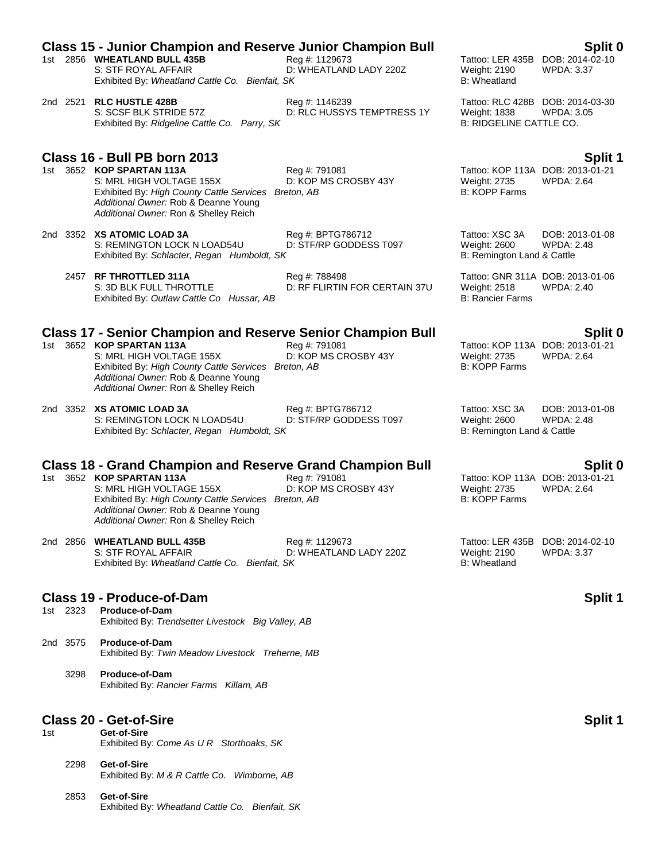# **Class 15 - Junior Champion and Reserve Junior Champion Bull Split 0**

- 1st 2856 **WHEATLAND BULL 435B** Reg #: 1129673 Tattoo: LER 435B DOB: 2014-02-10 S: STF ROYAL AFFAIR D: WHEATLAND LADY 220Z Weight: 2190 WPDA: 3.37 Exhibited By: *Wheatland Cattle Co. Bienfait, SK* B: Wheatland B: Wheatland
- 2nd 2521 **RLC HUSTLE 428B** Reg #: 1146239 Tattoo: RLC 428B DOB: 2014-03-30<br>S: SCSF BLK STRIDE 57Z D: RLC HUSSYS TEMPTRESS 1Y Weight: 1838 WPDA: 3.05 D: RLC HUSSYS TEMPTRESS 1Y Exhibited By: *Ridgeline Cattle Co. Parry, SK* B: RIDGELINE CATTLE CO.

# **Class 16 - Bull PB born 2013 Split 1**

- S: MRL HIGH VOLTAGE 155X Exhibited By: *High County Cattle Services Breton, AB* B: KOPP Farms *Additional Owner:* Rob & Deanne Young *Additional Owner:* Ron & Shelley Reich
- 2nd 3352 **XS ATOMIC LOAD 3A** Reg #: BPTG786712 Tattoo: XSC 3A DOB: 2013-01-08 S: REMINGTON LOCK N LOAD54U D: STF/RP GODDESS T097 Weight: 2600 Exhibited By: *Schlacter, Regan Humboldt, SK* B: Remington Land & Cattle
	- 2457 **RF THROTTLED 311A** Reg #: 788498 Tattoo: GNR 311A DOB: 2013-01-06 S: 3D BLK FULL THROTTLE **DEXAMPLE BEET ASSESSED BY A CHAIN 37U** Weight: 2518 WPDA: 2.40 Exhibited By: *Outlaw Cattle Co Hussar, AB* B: Rancier Farms

## **Class 17 - Senior Champion and Reserve Senior Champion Bull Split 0**

- 1st 3652 **KOP SPARTAN 113A** Reg #: 791081 Reg 2013-01-21<br>S: MRL HIGH VOLTAGE 155X D: KOP MS CROSBY 43Y Weight: 2735 WPDA: 2.64 S: MRL HIGH VOLTAGE 155X D: KOP MS CROSBY 43Y Weight: 2735 WPDA: 2.64 Exhibited By: *High County Cattle Services Breton, AB* B: KOPP Farms *Additional Owner:* Rob & Deanne Young *Additional Owner:* Ron & Shelley Reich
- 2nd 3352 **XS ATOMIC LOAD 3A** Reg #: BPTG786712 Tattoo: XSC 3A DOB: 2013-01-08 S: REMINGTON LOCK N LOAD54U D: STF/RP GODDESS T097 Weight: 2600 WPDA:<br>Exhibited By: Schlacter, Regan Humboldt, SK B: Remington Land & Cattle Exhibited By: Schlacter, Regan Humboldt, SK

# **Class 18 - Grand Champion and Reserve Grand Champion Bull Split 0**

- S: MRL HIGH VOLTAGE 155X D: KOP MS CROSBY 43Y Weight: 2735 WPDA: 2.64 Exhibited By: *High County Cattle Services Breton, AB* B: KOPP Farms *Additional Owner:* Rob & Deanne Young *Additional Owner:* Ron & Shelley Reich
- 2nd 2856 **WHEATLAND BULL 435B** Reg #: 1129673 Tattoo: LER 435B DOB: 2014-02-10 S: STF ROYAL AFFAIR D: WHEATLAND LADY 220Z Weight: 2190 WPDA: 3.37 Exhibited By: *Wheatland Cattle Co. Bienfait, SK* B: Wheatland

### **Class 19 - Produce-of-Dam Split 1**

- 1st 2323 **Produce-of-Dam** Exhibited By: *Trendsetter Livestock Big Valley, AB*
- 2nd 3575 **Produce-of-Dam** Exhibited By: *Twin Meadow Livestock Treherne, MB*
	- 3298 **Produce-of-Dam** Exhibited By: *Rancier Farms Killam, AB*

### **Class 20 - Get-of-Sire Subset 1 Split 1 Split 1 Split 1 Split 1 Split 1 Split 1 Split 1 Split 1 Split 1 Split 1 Split 1 Split 1 Split 1 Split 1 Split 1 Split 1 Split 1 Split 1 Split**

- 1st **Get-of-Sire** Exhibited By: *Come As U R Storthoaks, SK*
	- 2298 **Get-of-Sire** Exhibited By: *M & R Cattle Co. Wimborne, AB*
	- 2853 **Get-of-Sire** Exhibited By: *Wheatland Cattle Co. Bienfait, SK*

1st 366 **Kop 3652 Reg #: 791081**<br>1st Kop MS CROSBY 43Y Meight: 2735 WPDA: 2.64

Tattoo: KOP 113A DOB: 2013-01-21<br>Weight: 2735 WPDA: 2.64